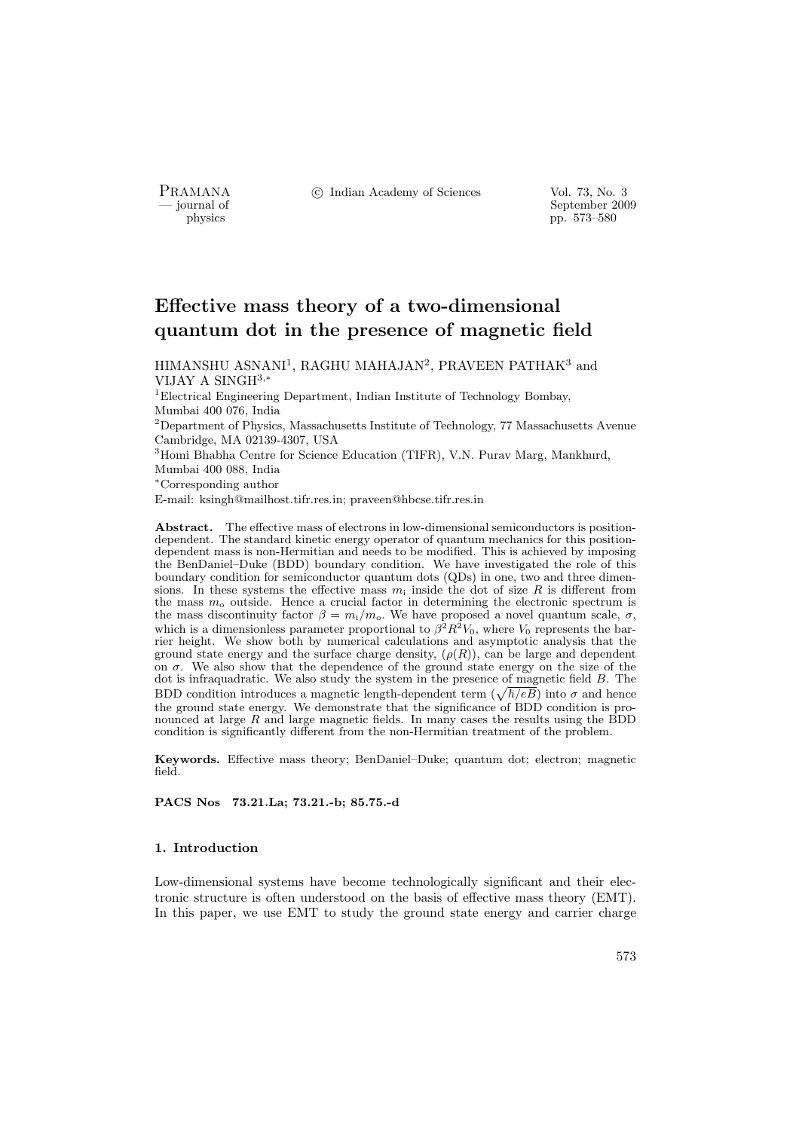PRAMANA <sup>C</sup> Indian Academy of Sciences Vol. 73, No. 3<br>
— iournal of September 200

position of the separation of the separation of the September 2009 physics  $pp. 573-580$ pp. 573–580

# Effective mass theory of a two-dimensional quantum dot in the presence of magnetic field

 $\rm HIMANSHU$  ASNANI<sup>1</sup>, RAGHU MAHAJAN<sup>2</sup>, PRAVEEN PATHAK<sup>3</sup> and VIJAY A SINGH<sup>3</sup>,<sup>∗</sup>

<sup>1</sup>Electrical Engineering Department, Indian Institute of Technology Bombay, Mumbai 400 076, India

<sup>2</sup>Department of Physics, Massachusetts Institute of Technology, 77 Massachusetts Avenue Cambridge, MA 02139-4307, USA

<sup>3</sup>Homi Bhabha Centre for Science Education (TIFR), V.N. Purav Marg, Mankhurd, Mumbai 400 088, India

<sup>∗</sup>Corresponding author

E-mail: ksingh@mailhost.tifr.res.in; praveen@hbcse.tifr.res.in

Abstract. The effective mass of electrons in low-dimensional semiconductors is positiondependent. The standard kinetic energy operator of quantum mechanics for this positiondependent mass is non-Hermitian and needs to be modified. This is achieved by imposing the BenDaniel–Duke (BDD) boundary condition. We have investigated the role of this boundary condition for semiconductor quantum dots (QDs) in one, two and three dimensions. In these systems the effective mass  $m_i$  inside the dot of size R is different from the mass  $m<sub>o</sub>$  outside. Hence a crucial factor in determining the electronic spectrum is the mass discontinuity factor  $\beta = m_i/m_o$ . We have proposed a novel quantum scale,  $\sigma$ , which is a dimensionless parameter proportional to  $\beta^2 R^2 V_0$ , where  $V_0$  represents the barrier height. We show both by numerical calculations and asymptotic analysis that the ground state energy and the surface charge density,  $(\rho(R))$ , can be large and dependent on  $\sigma$ . We also show that the dependence of the ground state energy on the size of the dot is infraquadratic. We also study the system in the presence of magnetic field B. The α is intraquadratic. We also study the system in the presence of magnetic field B. The<br>BDD condition introduces a magnetic length-dependent term ( $\sqrt{\hbar/eB}$ ) into σ and hence the ground state energy. We demonstrate that the significance of BDD condition is pronounced at large  $R$  and large magnetic fields. In many cases the results using the  $\overrightarrow{BDD}$ condition is significantly different from the non-Hermitian treatment of the problem.

Keywords. Effective mass theory; BenDaniel–Duke; quantum dot; electron; magnetic field.

PACS Nos 73.21.La; 73.21.-b; 85.75.-d

# 1. Introduction

Low-dimensional systems have become technologically significant and their electronic structure is often understood on the basis of effective mass theory (EMT). In this paper, we use EMT to study the ground state energy and carrier charge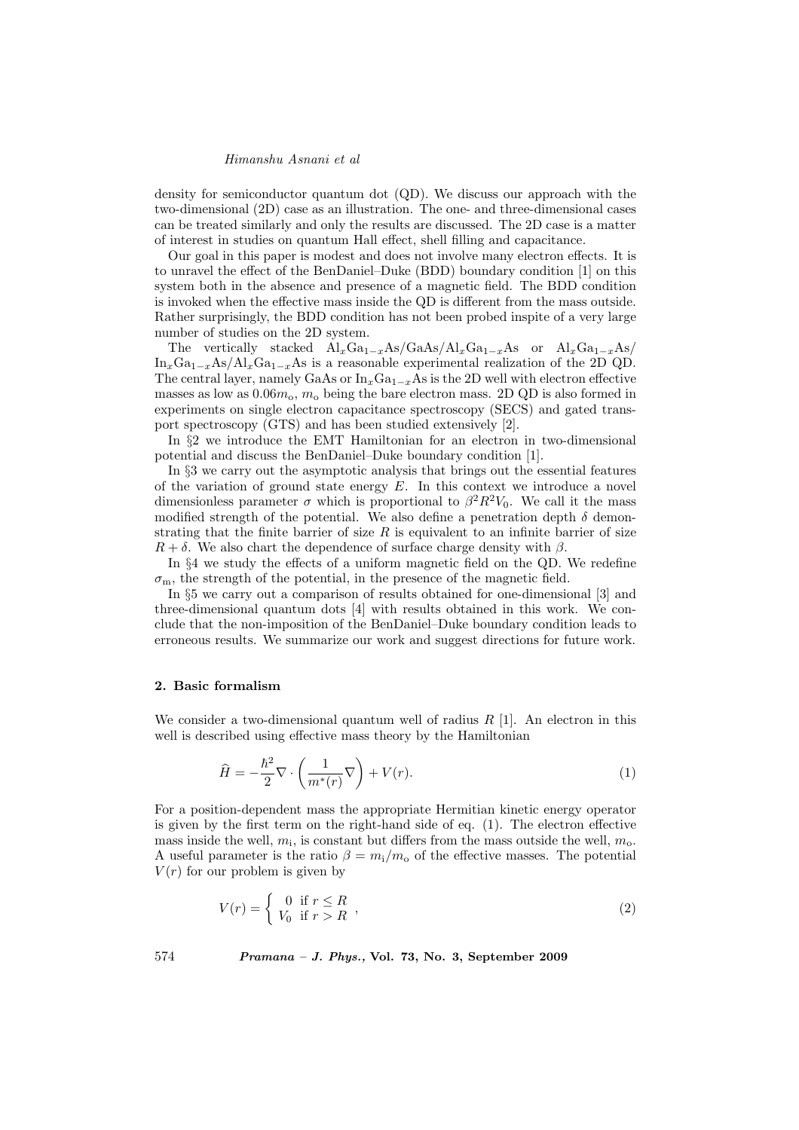density for semiconductor quantum dot (QD). We discuss our approach with the two-dimensional (2D) case as an illustration. The one- and three-dimensional cases can be treated similarly and only the results are discussed. The 2D case is a matter of interest in studies on quantum Hall effect, shell filling and capacitance.

Our goal in this paper is modest and does not involve many electron effects. It is to unravel the effect of the BenDaniel–Duke (BDD) boundary condition [1] on this system both in the absence and presence of a magnetic field. The BDD condition is invoked when the effective mass inside the QD is different from the mass outside. Rather surprisingly, the BDD condition has not been probed inspite of a very large number of studies on the 2D system.

The vertically stacked  $\text{Al}_x\text{Ga}_{1-x}\text{As}/\text{Ga}_x\text{As}/\text{Al}_x\text{Ga}_{1-x}\text{As}$  or  $\text{Al}_x\text{Ga}_{1-x}\text{As}/$  $\text{In}_x\text{Ga}_{1-x}\text{As}/\text{Al}_x\text{Ga}_{1-x}\text{As}$  is a reasonable experimental realization of the 2D QD. The central layer, namely GaAs or  $\text{In}_x\text{Ga}_{1-x}$ As is the 2D well with electron effective masses as low as  $0.06m<sub>o</sub>$ ,  $m<sub>o</sub>$  being the bare electron mass. 2D QD is also formed in experiments on single electron capacitance spectroscopy (SECS) and gated transport spectroscopy (GTS) and has been studied extensively [2].

In §2 we introduce the EMT Hamiltonian for an electron in two-dimensional potential and discuss the BenDaniel–Duke boundary condition [1].

In §3 we carry out the asymptotic analysis that brings out the essential features of the variation of ground state energy  $E$ . In this context we introduce a novel dimensionless parameter  $\sigma$  which is proportional to  $\beta^2 R^2 V_0$ . We call it the mass modified strength of the potential. We also define a penetration depth  $\delta$  demonstrating that the finite barrier of size  $R$  is equivalent to an infinite barrier of size  $R + \delta$ . We also chart the dependence of surface charge density with  $\beta$ .

In §4 we study the effects of a uniform magnetic field on the QD. We redefine  $\sigma_{\rm m}$ , the strength of the potential, in the presence of the magnetic field.

In §5 we carry out a comparison of results obtained for one-dimensional [3] and three-dimensional quantum dots [4] with results obtained in this work. We conclude that the non-imposition of the BenDaniel–Duke boundary condition leads to erroneous results. We summarize our work and suggest directions for future work.

#### 2. Basic formalism

We consider a two-dimensional quantum well of radius  $R$  [1]. An electron in this well is described using effective mass theory by the Hamiltonian

$$
\widehat{H} = -\frac{\hbar^2}{2}\nabla \cdot \left(\frac{1}{m^*(r)}\nabla\right) + V(r). \tag{1}
$$

For a position-dependent mass the appropriate Hermitian kinetic energy operator is given by the first term on the right-hand side of eq. (1). The electron effective mass inside the well,  $m_i$ , is constant but differs from the mass outside the well,  $m_o$ . A useful parameter is the ratio  $\beta = m_i/m_o$  of the effective masses. The potential  $V(r)$  for our problem is given by

$$
V(r) = \begin{cases} 0 & \text{if } r \le R \\ V_0 & \text{if } r > R \end{cases},
$$
 (2)

574 Pramana – J. Phys., Vol. 73, No. 3, September 2009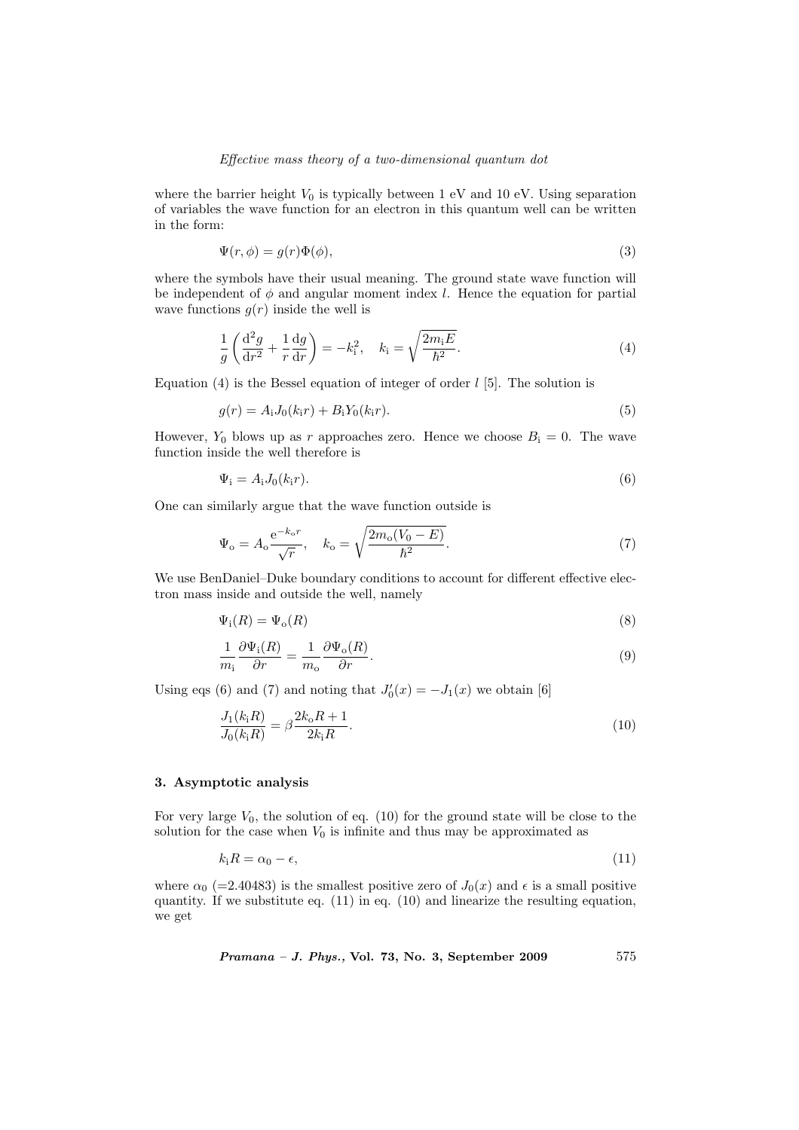## Effective mass theory of a two-dimensional quantum dot

where the barrier height  $V_0$  is typically between 1 eV and 10 eV. Using separation of variables the wave function for an electron in this quantum well can be written in the form:

$$
\Psi(r,\phi) = g(r)\Phi(\phi),\tag{3}
$$

where the symbols have their usual meaning. The ground state wave function will be independent of  $\phi$  and angular moment index l. Hence the equation for partial wave functions  $g(r)$  inside the well is

$$
\frac{1}{g}\left(\frac{\mathrm{d}^2g}{\mathrm{d}r^2} + \frac{1}{r}\frac{\mathrm{d}g}{\mathrm{d}r}\right) = -k_i^2, \quad k_i = \sqrt{\frac{2m_iE}{\hbar^2}}.\tag{4}
$$

Equation (4) is the Bessel equation of integer of order  $l$  [5]. The solution is

$$
g(r) = A_{i}J_{0}(k_{i}r) + B_{i}Y_{0}(k_{i}r).
$$
\n(5)

However,  $Y_0$  blows up as r approaches zero. Hence we choose  $B_i = 0$ . The wave function inside the well therefore is

$$
\Psi_{\mathbf{i}} = A_{\mathbf{i}} J_0(k_{\mathbf{i}} r). \tag{6}
$$

One can similarly argue that the wave function outside is

$$
\Psi_{\rm o} = A_{\rm o} \frac{\mathrm{e}^{-k_{\rm o} r}}{\sqrt{r}}, \quad k_{\rm o} = \sqrt{\frac{2m_{\rm o}(V_0 - E)}{\hbar^2}}.
$$
\n(7)

We use BenDaniel–Duke boundary conditions to account for different effective electron mass inside and outside the well, namely

$$
\Psi_{\mathbf{i}}(R) = \Psi_{\mathbf{o}}(R) \tag{8}
$$

$$
\frac{1}{m_i} \frac{\partial \Psi_i(R)}{\partial r} = \frac{1}{m_o} \frac{\partial \Psi_o(R)}{\partial r}.
$$
\n(9)

Using eqs (6) and (7) and noting that  $J'_0(x) = -J_1(x)$  we obtain [6]

$$
\frac{J_1(k_iR)}{J_0(k_iR)} = \beta \frac{2k_oR + 1}{2k_iR}.
$$
\n(10)

#### 3. Asymptotic analysis

For very large  $V_0$ , the solution of eq. (10) for the ground state will be close to the solution for the case when  $V_0$  is infinite and thus may be approximated as

$$
k_i = \alpha_0 - \epsilon,\tag{11}
$$

where  $\alpha_0$  (=2.40483) is the smallest positive zero of  $J_0(x)$  and  $\epsilon$  is a small positive quantity. If we substitute eq. (11) in eq. (10) and linearize the resulting equation, we get

$$
Pramana - J. Phys., Vol. 73, No. 3, September 2009 \qquad 575
$$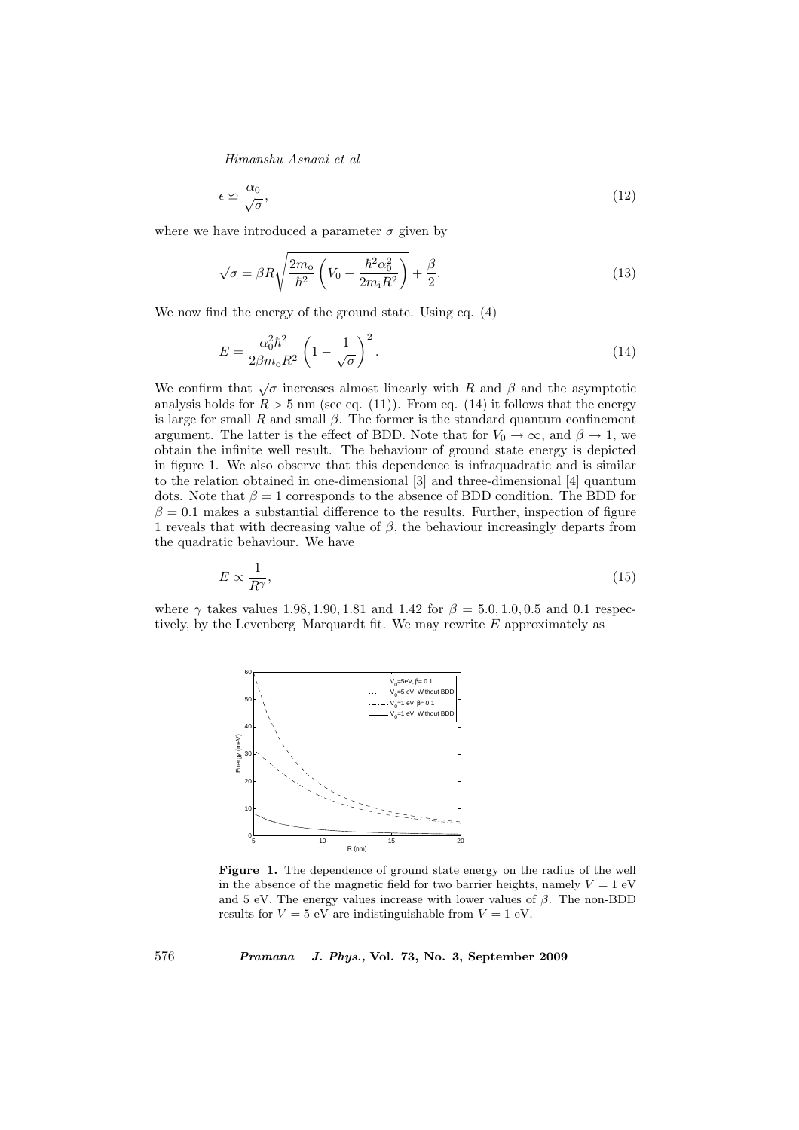$$
\epsilon \simeq \frac{\alpha_0}{\sqrt{\sigma}},\tag{12}
$$

where we have introduced a parameter  $\sigma$  given by

$$
\sqrt{\sigma} = \beta R \sqrt{\frac{2m_0}{\hbar^2} \left(V_0 - \frac{\hbar^2 \alpha_0^2}{2m_1 R^2}\right)} + \frac{\beta}{2}.
$$
\n(13)

We now find the energy of the ground state. Using eq. (4)

$$
E = \frac{\alpha_0^2 \hbar^2}{2\beta m_0 R^2} \left(1 - \frac{1}{\sqrt{\sigma}}\right)^2.
$$
 (14)

We confirm that  $\sqrt{\sigma}$  increases almost linearly with R and  $\beta$  and the asymptotic analysis holds for  $R > 5$  nm (see eq. (11)). From eq. (14) it follows that the energy is large for small R and small  $\beta$ . The former is the standard quantum confinement argument. The latter is the effect of BDD. Note that for  $V_0 \rightarrow \infty$ , and  $\beta \rightarrow 1$ , we obtain the infinite well result. The behaviour of ground state energy is depicted in figure 1. We also observe that this dependence is infraquadratic and is similar to the relation obtained in one-dimensional [3] and three-dimensional [4] quantum dots. Note that  $\beta = 1$  corresponds to the absence of BDD condition. The BDD for  $\beta = 0.1$  makes a substantial difference to the results. Further, inspection of figure 1 reveals that with decreasing value of  $\beta$ , the behaviour increasingly departs from the quadratic behaviour. We have

$$
E \propto \frac{1}{R^{\gamma}},\tag{15}
$$

where  $\gamma$  takes values 1.98, 1.90, 1.81 and 1.42 for  $\beta = 5.0, 1.0, 0.5$  and 0.1 respectively, by the Levenberg–Marquardt fit. We may rewrite E approximately as



Figure 1. The dependence of ground state energy on the radius of the well in the absence of the magnetic field for two barrier heights, namely  $V = 1$  eV and 5 eV. The energy values increase with lower values of  $\beta$ . The non-BDD results for  $V = 5$  eV are indistinguishable from  $V = 1$  eV.

576 Pramana – J. Phys., Vol. 73, No. 3, September 2009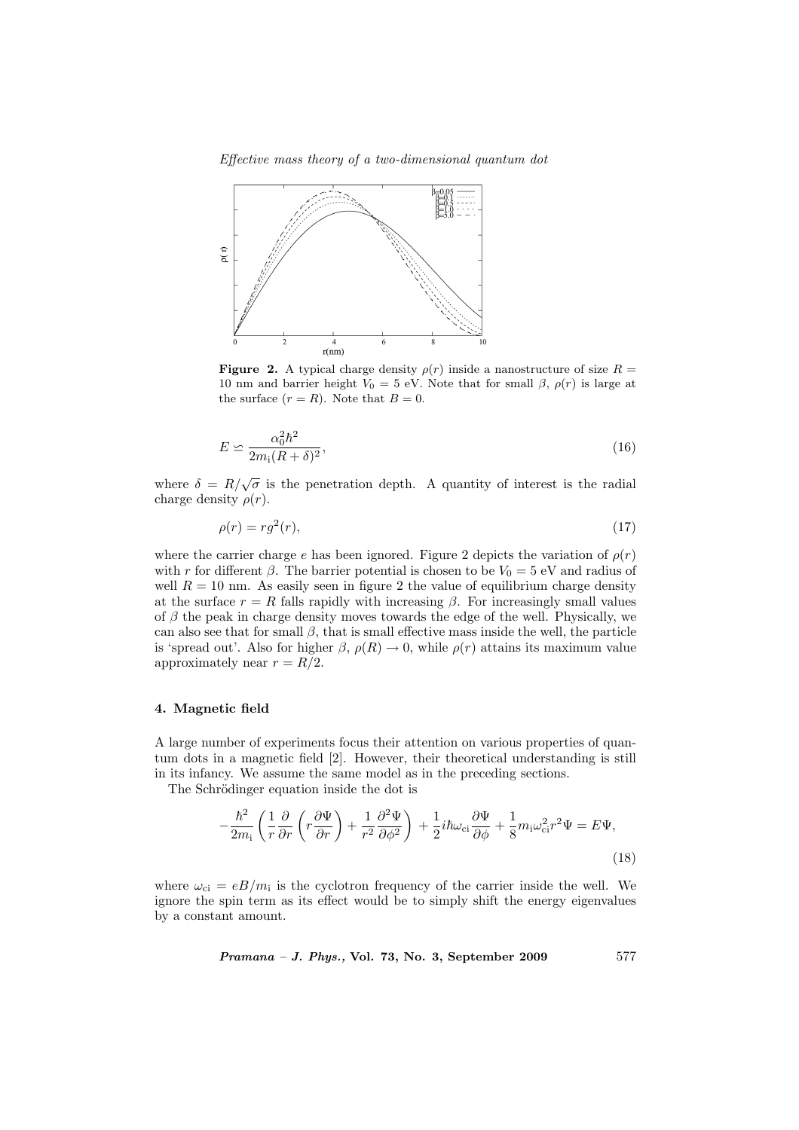Effective mass theory of a two-dimensional quantum dot



**Figure 2.** A typical charge density  $\rho(r)$  inside a nanostructure of size  $R =$ 10 nm and barrier height  $V_0 = 5$  eV. Note that for small  $\beta$ ,  $\rho(r)$  is large at the surface  $(r = R)$ . Note that  $B = 0$ .

$$
E \simeq \frac{\alpha_0^2 \hbar^2}{2m_i(R+\delta)^2},\tag{16}
$$

where  $\delta = R/\sqrt{\sigma}$  is the penetration depth. A quantity of interest is the radial charge density  $\rho(r)$ .

$$
\rho(r) = rg^2(r),\tag{17}
$$

where the carrier charge e has been ignored. Figure 2 depicts the variation of  $\rho(r)$ with r for different  $\beta$ . The barrier potential is chosen to be  $V_0 = 5$  eV and radius of well  $R = 10$  nm. As easily seen in figure 2 the value of equilibrium charge density at the surface  $r = R$  falls rapidly with increasing  $\beta$ . For increasingly small values of  $\beta$  the peak in charge density moves towards the edge of the well. Physically, we can also see that for small  $\beta$ , that is small effective mass inside the well, the particle is 'spread out'. Also for higher  $\beta$ ,  $\rho(R) \rightarrow 0$ , while  $\rho(r)$  attains its maximum value approximately near  $r = R/2$ .

#### 4. Magnetic field

A large number of experiments focus their attention on various properties of quantum dots in a magnetic field [2]. However, their theoretical understanding is still in its infancy. We assume the same model as in the preceding sections.

The Schrödinger equation inside the dot is

$$
-\frac{\hbar^2}{2m_i} \left( \frac{1}{r} \frac{\partial}{\partial r} \left( r \frac{\partial \Psi}{\partial r} \right) + \frac{1}{r^2} \frac{\partial^2 \Psi}{\partial \phi^2} \right) + \frac{1}{2} i \hbar \omega_{ci} \frac{\partial \Psi}{\partial \phi} + \frac{1}{8} m_i \omega_{ci}^2 r^2 \Psi = E \Psi,
$$
\n(18)

where  $\omega_{ci} = eB/m_i$  is the cyclotron frequency of the carrier inside the well. We ignore the spin term as its effect would be to simply shift the energy eigenvalues by a constant amount.

 $Pramana - J. Phys., Vol. 73, No. 3, September 2009 577$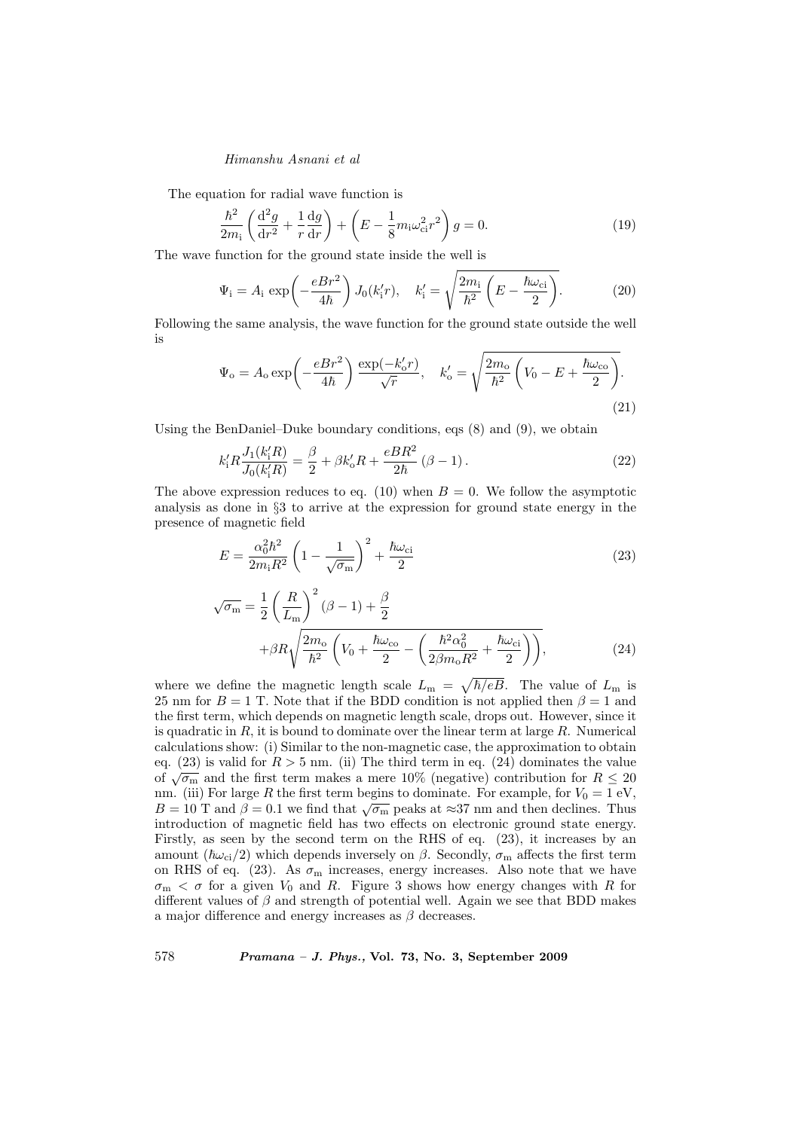The equation for radial wave function is

$$
\frac{\hbar^2}{2m_i} \left( \frac{\mathrm{d}^2 g}{\mathrm{d}r^2} + \frac{1}{r} \frac{\mathrm{d}g}{\mathrm{d}r} \right) + \left( E - \frac{1}{8} m_i \omega_{ci}^2 r^2 \right) g = 0. \tag{19}
$$

The wave function for the ground state inside the well is s

$$
\Psi_{\mathbf{i}} = A_{\mathbf{i}} \exp\left(-\frac{eBr^2}{4\hbar}\right) J_0(k'_{\mathbf{i}}r), \quad k'_{\mathbf{i}} = \sqrt{\frac{2m_{\mathbf{i}}}{\hbar^2} \left(E - \frac{\hbar\omega_{\mathbf{ci}}}{2}\right)}.
$$
 (20)

Following the same analysis, the wave function for the ground state outside the well is s

$$
\Psi_{\rm o} = A_{\rm o} \exp\left(-\frac{eBr^2}{4\hbar}\right) \frac{\exp(-k'_{\rm o}r)}{\sqrt{r}}, \quad k'_{\rm o} = \sqrt{\frac{2m_{\rm o}}{\hbar^2} \left(V_0 - E + \frac{\hbar \omega_{\rm co}}{2}\right)}.
$$
\n(21)

Using the BenDaniel–Duke boundary conditions, eqs (8) and (9), we obtain

$$
k'_1 R \frac{J_1(k'_1 R)}{J_0(k'_1 R)} = \frac{\beta}{2} + \beta k'_0 R + \frac{eBR^2}{2\hbar} (\beta - 1).
$$
 (22)

The above expression reduces to eq. (10) when  $B = 0$ . We follow the asymptotic analysis as done in §3 to arrive at the expression for ground state energy in the presence of magnetic field

$$
E = \frac{\alpha_0^2 \hbar^2}{2m_{\rm i}R^2} \left(1 - \frac{1}{\sqrt{\sigma_{\rm m}}}\right)^2 + \frac{\hbar\omega_{\rm ci}}{2} \tag{23}
$$

$$
\sqrt{\sigma_{\rm m}} = \frac{1}{2} \left( \frac{R}{L_{\rm m}} \right)^2 (\beta - 1) + \frac{\beta}{2}
$$

$$
+ \beta R \sqrt{\frac{2m_{\rm o}}{\hbar^2} \left( V_0 + \frac{\hbar \omega_{\rm co}}{2} - \left( \frac{\hbar^2 \alpha_0^2}{2\beta m_{\rm o} R^2} + \frac{\hbar \omega_{\rm ci}}{2} \right) \right)},\tag{24}
$$

where we define the magnetic length scale  $L_{\rm m}$  =  $\hbar/eB$ . The value of  $L_m$  is 25 nm for  $B = 1$  T. Note that if the BDD condition is not applied then  $\beta = 1$  and the first term, which depends on magnetic length scale, drops out. However, since it is quadratic in  $R$ , it is bound to dominate over the linear term at large  $R$ . Numerical calculations show: (i) Similar to the non-magnetic case, the approximation to obtain eq. (23) is valid for  $R > 5$  nm. (ii) The third term in eq. (24) dominates the value eq. (23) is valid for  $R > 3$  lini. (ii) The third term in eq. (24) dominates the value of  $\sqrt{\sigma_{\rm m}}$  and the first term makes a mere 10% (negative) contribution for  $R \le 20$ nm. (iii) For large R the first term begins to dominate. For example, for  $V_0 = 1$  eV, finition and  $\beta = 0.1$  we find that  $\sqrt{\sigma_{\rm m}}$  peaks at ≈37 nm and then declines. Thus introduction of magnetic field has two effects on electronic ground state energy. Firstly, as seen by the second term on the RHS of eq. (23), it increases by an amount ( $\hbar\omega_{ci}/2$ ) which depends inversely on  $\beta$ . Secondly,  $\sigma_m$  affects the first term on RHS of eq. (23). As  $\sigma_m$  increases, energy increases. Also note that we have  $\sigma_{\rm m} < \sigma$  for a given  $V_0$  and R. Figure 3 shows how energy changes with R for different values of  $\beta$  and strength of potential well. Again we see that BDD makes a major difference and energy increases as  $\beta$  decreases.

578 Pramana – J. Phys., Vol. 73, No. 3, September 2009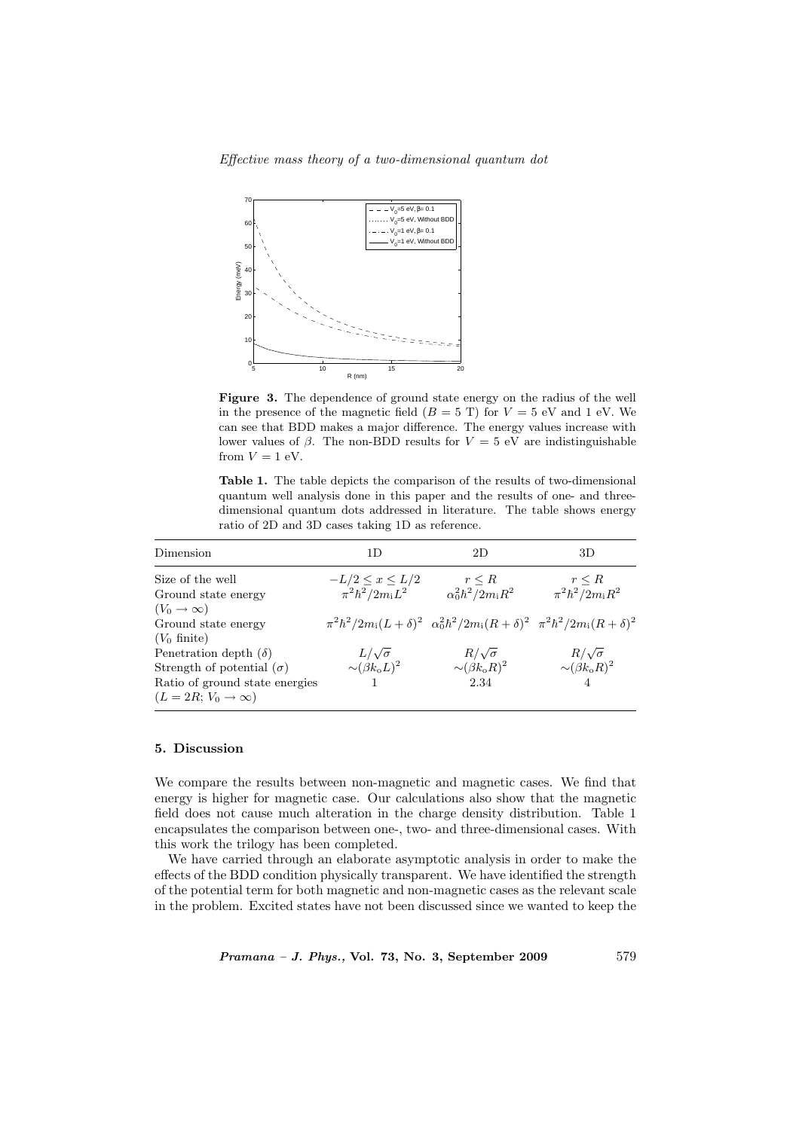Effective mass theory of a two-dimensional quantum dot



Figure 3. The dependence of ground state energy on the radius of the well in the presence of the magnetic field  $(B = 5 T)$  for  $V = 5 eV$  and 1 eV. We can see that BDD makes a major difference. The energy values increase with lower values of  $\beta$ . The non-BDD results for  $V = 5$  eV are indistinguishable from  $V = 1$  eV.

Table 1. The table depicts the comparison of the results of two-dimensional quantum well analysis done in this paper and the results of one- and threedimensional quantum dots addressed in literature. The table shows energy ratio of 2D and 3D cases taking 1D as reference.

| Dimension                          | 1D                                | 2D                                                                                               | 3D                                |
|------------------------------------|-----------------------------------|--------------------------------------------------------------------------------------------------|-----------------------------------|
| Size of the well                   | $-L/2 \leq x \leq L/2$            | $r \leq R$                                                                                       | $r \leq R$                        |
| Ground state energy                | $\pi^2 \hbar^2 / 2 m_{\rm i} L^2$ | $\alpha_0^2\hbar^2/2m_iR^2$                                                                      | $\pi^2 \hbar^2 / 2 m_{\rm i} R^2$ |
| $(V_0 \rightarrow \infty)$         |                                   |                                                                                                  |                                   |
| Ground state energy                |                                   | $\pi^2\hbar^2/2m_i(L+\delta)^2 \alpha_0^2\hbar^2/2m_i(R+\delta)^2 \pi^2\hbar^2/2m_i(R+\delta)^2$ |                                   |
| $(V_0 \text{ finite})$             |                                   |                                                                                                  |                                   |
| Penetration depth $(\delta)$       | $L/\sqrt{\sigma}$                 | $R/\sqrt{\sigma}$                                                                                | $R/\sqrt{\sigma}$                 |
| Strength of potential $(\sigma)$   | $\sim (\beta k_0 L)^2$            | $\sim (\beta k_{\rm o} R)^2$                                                                     | $\sim (\beta k_{\rm o} R)^2$      |
| Ratio of ground state energies     |                                   | 2.34                                                                                             |                                   |
| $(L = 2R; V_0 \rightarrow \infty)$ |                                   |                                                                                                  |                                   |

#### 5. Discussion

We compare the results between non-magnetic and magnetic cases. We find that energy is higher for magnetic case. Our calculations also show that the magnetic field does not cause much alteration in the charge density distribution. Table 1 encapsulates the comparison between one-, two- and three-dimensional cases. With this work the trilogy has been completed.

We have carried through an elaborate asymptotic analysis in order to make the effects of the BDD condition physically transparent. We have identified the strength of the potential term for both magnetic and non-magnetic cases as the relevant scale in the problem. Excited states have not been discussed since we wanted to keep the

Pramana – J. Phys., Vol. 73, No. 3, September 2009 579